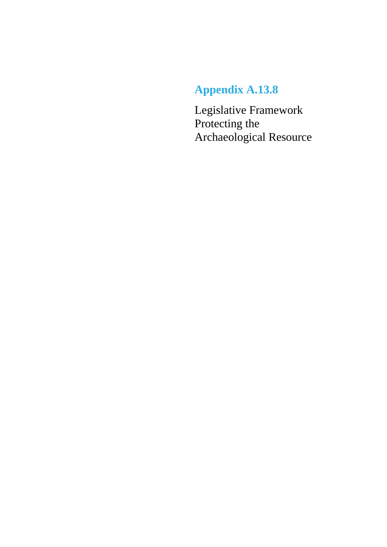# **Appendix A.13.8**

Legislative Framework Protecting the Archaeological Resource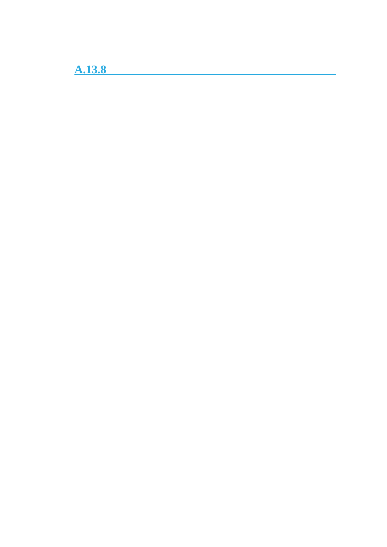**A.13.8**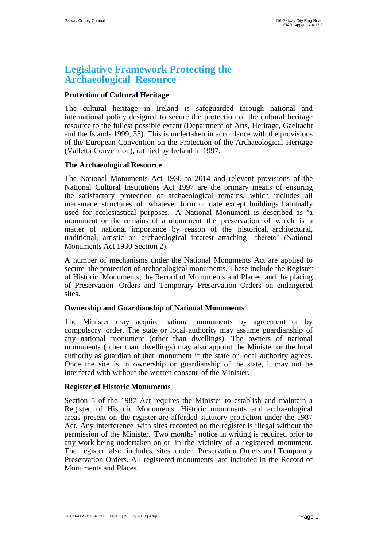# **Legislative Framework Protecting the Archaeological Resource**

### **Protection of Cultural Heritage**

The cultural heritage in Ireland is safeguarded through national and international policy designed to secure the protection of the cultural heritage resource to the fullest possible extent (Department of Arts, Heritage, Gaeltacht and the Islands 1999, 35). This is undertaken in accordance with the provisions of the European Convention on the Protection of the Archaeological Heritage (Valletta Convention), ratified by Ireland in 1997.

#### **The Archaeological Resource**

The National Monuments Act 1930 to 2014 and relevant provisions of the National Cultural Institutions Act 1997 are the primary means of ensuring the satisfactory protection of archaeological remains, which includes all man-made structures of whatever form or date except buildings habitually used for ecclesiastical purposes. A National Monument is described as 'a monument or the remains of a monument the preservation of which is a matter of national importance by reason of the historical, architectural, traditional, artistic or archaeological interest attaching thereto' (National Monuments Act 1930 Section 2).

A number of mechanisms under the National Monuments Act are applied to secure the protection of archaeological monuments. These include the Register of Historic Monuments, the Record of Monuments and Places, and the placing of Preservation Orders and Temporary Preservation Orders on endangered sites.

#### **Ownership and Guardianship of National Monuments**

The Minister may acquire national monuments by agreement or by compulsory order. The state or local authority may assume guardianship of any national monument (other than dwellings). The owners of national monuments (other than dwellings) may also appoint the Minister or the local authority as guardian of that monument if the state or local authority agrees. Once the site is in ownership or guardianship of the state, it may not be interfered with without the written consent of the Minister.

#### **Register of Historic Monuments**

Section 5 of the 1987 Act requires the Minister to establish and maintain a Register of Historic Monuments. Historic monuments and archaeological areas present on the register are afforded statutory protection under the 1987 Act. Any interference with sites recorded on the register is illegal without the permission of the Minister. Two months' notice in writing is required prior to any work being undertaken on or in the vicinity of a registered monument. The register also includes sites under Preservation Orders and Temporary Preservation Orders. All registered monuments are included in the Record of Monuments and Places.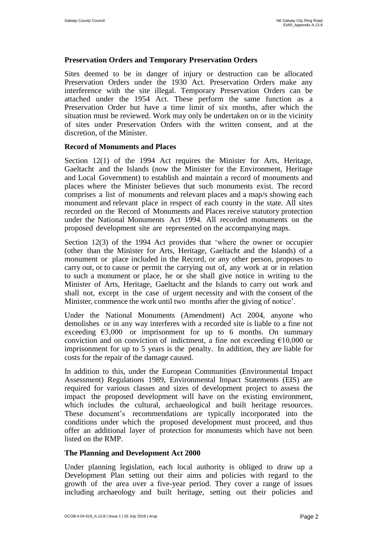# **Preservation Orders and Temporary Preservation Orders**

Sites deemed to be in danger of injury or destruction can be allocated Preservation Orders under the 1930 Act. Preservation Orders make any interference with the site illegal. Temporary Preservation Orders can be attached under the 1954 Act. These perform the same function as a Preservation Order but have a time limit of six months, after which the situation must be reviewed. Work may only be undertaken on or in the vicinity of sites under Preservation Orders with the written consent, and at the discretion, of the Minister.

#### **Record of Monuments and Places**

Section 12(1) of the 1994 Act requires the Minister for Arts, Heritage, Gaeltacht and the Islands (now the Minister for the Environment, Heritage and Local Government) to establish and maintain a record of monuments and places where the Minister believes that such monuments exist. The record comprises a list of monuments and relevant places and a map/s showing each monument and relevant place in respect of each county in the state. All sites recorded on the Record of Monuments and Places receive statutory protection under the National Monuments Act 1994. All recorded monuments on the proposed development site are represented on the accompanying maps.

Section 12(3) of the 1994 Act provides that 'where the owner or occupier (other than the Minister for Arts, Heritage, Gaeltacht and the Islands) of a monument or place included in the Record, or any other person, proposes to carry out, or to cause or permit the carrying out of, any work at or in relation to such a monument or place, he or she shall give notice in writing to the Minister of Arts, Heritage, Gaeltacht and the Islands to carry out work and shall not, except in the case of urgent necessity and with the consent of the Minister, commence the work until two months after the giving of notice'.

Under the National Monuments (Amendment) Act 2004, anyone who demolishes or in any way interferes with a recorded site is liable to a fine not exceeding  $\epsilon$ 3,000 or imprisonment for up to 6 months. On summary conviction and on conviction of indictment, a fine not exceeding  $€10,000$  or imprisonment for up to 5 years is the penalty. In addition, they are liable for costs for the repair of the damage caused.

In addition to this, under the European Communities (Environmental Impact Assessment) Regulations 1989, Environmental Impact Statements (EIS) are required for various classes and sizes of development project to assess the impact the proposed development will have on the existing environment, which includes the cultural, archaeological and built heritage resources. These document's recommendations are typically incorporated into the conditions under which the proposed development must proceed, and thus offer an additional layer of protection for monuments which have not been listed on the RMP.

#### **The Planning and Development Act 2000**

Under planning legislation, each local authority is obliged to draw up a Development Plan setting out their aims and policies with regard to the growth of the area over a five-year period. They cover a range of issues including archaeology and built heritage, setting out their policies and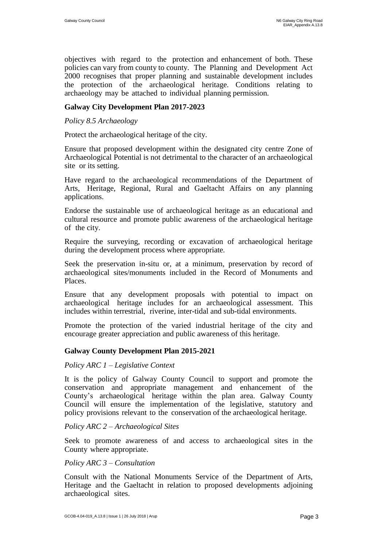objectives with regard to the protection and enhancement of both. These policies can vary from county to county. The Planning and Development Act 2000 recognises that proper planning and sustainable development includes the protection of the archaeological heritage. Conditions relating to archaeology may be attached to individual planning permission.

# **Galway City Development Plan 2017-2023**

*Policy 8.5 Archaeology*

Protect the archaeological heritage of the city.

Ensure that proposed development within the designated city centre Zone of Archaeological Potential is not detrimental to the character of an archaeological site or its setting.

Have regard to the archaeological recommendations of the Department of Arts, Heritage, Regional, Rural and Gaeltacht Affairs on any planning applications.

Endorse the sustainable use of archaeological heritage as an educational and cultural resource and promote public awareness of the archaeological heritage of the city.

Require the surveying, recording or excavation of archaeological heritage during the development process where appropriate.

Seek the preservation in-situ or, at a minimum, preservation by record of archaeological sites/monuments included in the Record of Monuments and Places.

Ensure that any development proposals with potential to impact on archaeological heritage includes for an archaeological assessment. This includes within terrestrial, riverine, inter-tidal and sub-tidal environments.

Promote the protection of the varied industrial heritage of the city and encourage greater appreciation and public awareness of this heritage.

# **Galway County Development Plan 2015-2021**

#### *Policy ARC 1 – Legislative Context*

It is the policy of Galway County Council to support and promote the conservation and appropriate management and enhancement of the County's archaeological heritage within the plan area. Galway County Council will ensure the implementation of the legislative, statutory and policy provisions relevant to the conservation of the archaeological heritage.

#### *Policy ARC 2 – Archaeological Sites*

Seek to promote awareness of and access to archaeological sites in the County where appropriate.

#### *Policy ARC 3 – Consultation*

Consult with the National Monuments Service of the Department of Arts, Heritage and the Gaeltacht in relation to proposed developments adjoining archaeological sites.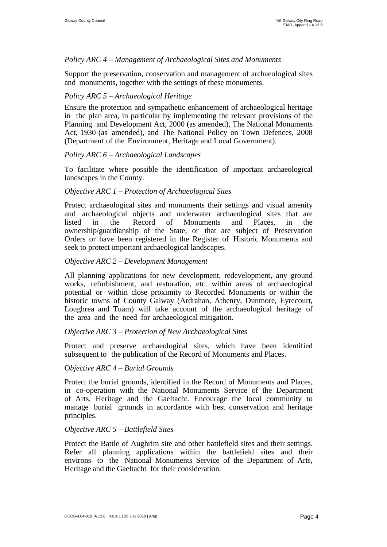# *Policy ARC 4 – Management of Archaeological Sites and Monuments*

Support the preservation, conservation and management of archaeological sites and monuments, together with the settings of these monuments.

# *Policy ARC 5 – Archaeological Heritage*

Ensure the protection and sympathetic enhancement of archaeological heritage in the plan area, in particular by implementing the relevant provisions of the Planning and Development Act, 2000 (as amended), The National Monuments Act, 1930 (as amended), and The National Policy on Town Defences, 2008 (Department of the Environment, Heritage and Local Government).

# *Policy ARC 6 – Archaeological Landscapes*

To facilitate where possible the identification of important archaeological landscapes in the County.

#### *Objective ARC 1 – Protection of Archaeological Sites*

Protect archaeological sites and monuments their settings and visual amenity and archaeological objects and underwater archaeological sites that are listed in the Record of Monuments and Places, in the ownership/guardianship of the State, or that are subject of Preservation Orders or have been registered in the Register of Historic Monuments and seek to protect important archaeological landscapes.

# *Objective ARC 2 – Development Management*

All planning applications for new development, redevelopment, any ground works, refurbishment, and restoration, etc. within areas of archaeological potential or within close proximity to Recorded Monuments or within the historic towns of County Galway (Ardrahan, Athenry, Dunmore, Eyrecourt, Loughrea and Tuam) will take account of the archaeological heritage of the area and the need for archaeological mitigation.

# *Objective ARC 3 – Protection of New Archaeological Sites*

Protect and preserve archaeological sites, which have been identified subsequent to the publication of the Record of Monuments and Places.

#### O*bjective ARC 4 – Burial Grounds*

Protect the burial grounds, identified in the Record of Monuments and Places, in co-operation with the National Monuments Service of the Department of Arts, Heritage and the Gaeltacht. Encourage the local community to manage burial grounds in accordance with best conservation and heritage principles.

#### *Objective ARC 5 – Battlefield Sites*

Protect the Battle of Aughrim site and other battlefield sites and their settings. Refer all planning applications within the battlefield sites and their environs to the National Monuments Service of the Department of Arts, Heritage and the Gaeltacht for their consideration.